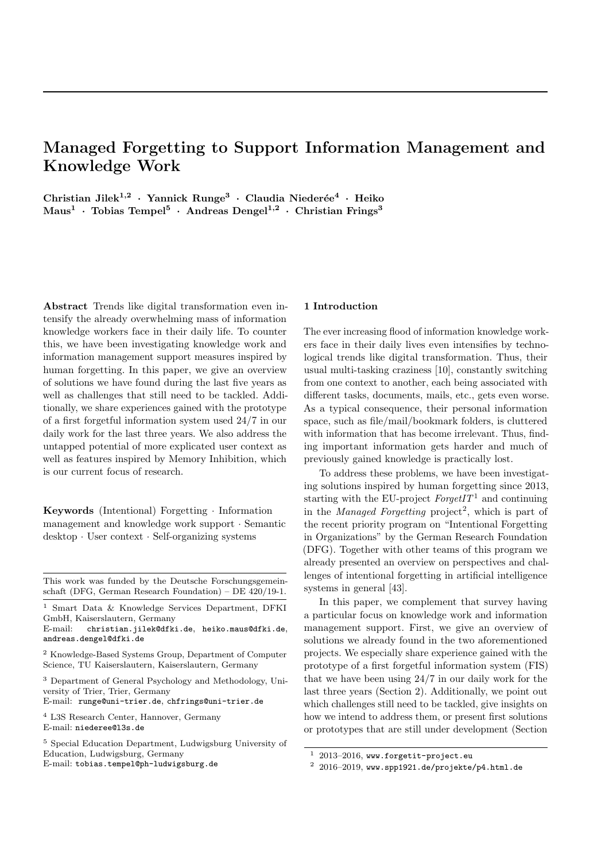# Managed Forgetting to Support Information Management and Knowledge Work

Christian Jilek<sup>1,2</sup> · Yannick Runge<sup>3</sup> · Claudia Niederée<sup>4</sup> · Heiko  $\mathrm{Maus}^1$  • Tobias Tempel $^5$  • Andreas Dengel $^{1,2}$  • Christian Frings $^3$ 

Abstract Trends like digital transformation even intensify the already overwhelming mass of information knowledge workers face in their daily life. To counter this, we have been investigating knowledge work and information management support measures inspired by human forgetting. In this paper, we give an overview of solutions we have found during the last five years as well as challenges that still need to be tackled. Additionally, we share experiences gained with the prototype of a first forgetful information system used 24/7 in our daily work for the last three years. We also address the untapped potential of more explicated user context as well as features inspired by Memory Inhibition, which is our current focus of research.

Keywords (Intentional) Forgetting · Information management and knowledge work support · Semantic desktop · User context · Self-organizing systems

This work was funded by the Deutsche Forschungsgemeinschaft (DFG, German Research Foundation) – DE 420/19-1.

<sup>1</sup> Smart Data & Knowledge Services Department, DFKI GmbH, Kaiserslautern, Germany

<sup>2</sup> Knowledge-Based Systems Group, Department of Computer Science, TU Kaiserslautern, Kaiserslautern, Germany

<sup>3</sup> Department of General Psychology and Methodology, University of Trier, Trier, Germany

E-mail: runge@uni-trier.de, chfrings@uni-trier.de

<sup>5</sup> Special Education Department, Ludwigsburg University of Education, Ludwigsburg, Germany

E-mail: tobias.tempel@ph-ludwigsburg.de

#### 1 Introduction

The ever increasing flood of information knowledge workers face in their daily lives even intensifies by technological trends like digital transformation. Thus, their usual multi-tasking craziness [\[10\]](#page-8-0), constantly switching from one context to another, each being associated with different tasks, documents, mails, etc., gets even worse. As a typical consequence, their personal information space, such as file/mail/bookmark folders, is cluttered with information that has become irrelevant. Thus, finding important information gets harder and much of previously gained knowledge is practically lost.

To address these problems, we have been investigating solutions inspired by human forgetting since 2013, starting with the EU-project  $ForqetIT<sup>1</sup>$  $ForqetIT<sup>1</sup>$  $ForqetIT<sup>1</sup>$  and continuing in the *Managed Forgetting* project<sup>[2](#page-0-1)</sup>, which is part of the recent priority program on "Intentional Forgetting in Organizations" by the German Research Foundation (DFG). Together with other teams of this program we already presented an overview on perspectives and challenges of intentional forgetting in artificial intelligence systems in general [\[43\]](#page-9-0).

In this paper, we complement that survey having a particular focus on knowledge work and information management support. First, we give an overview of solutions we already found in the two aforementioned projects. We especially share experience gained with the prototype of a first forgetful information system (FIS) that we have been using 24/7 in our daily work for the last three years (Section 2). Additionally, we point out which challenges still need to be tackled, give insights on how we intend to address them, or present first solutions or prototypes that are still under development (Section

E-mail: christian.jilek@dfki.de, heiko.maus@dfki.de, andreas.dengel@dfki.de

<sup>4</sup> L3S Research Center, Hannover, Germany

E-mail: niederee@l3s.de

<span id="page-0-0"></span> $1$  2013-2016, <www.forgetit-project.eu>

<span id="page-0-1"></span><sup>2</sup> 2016–2019, <www.spp1921.de/projekte/p4.html.de>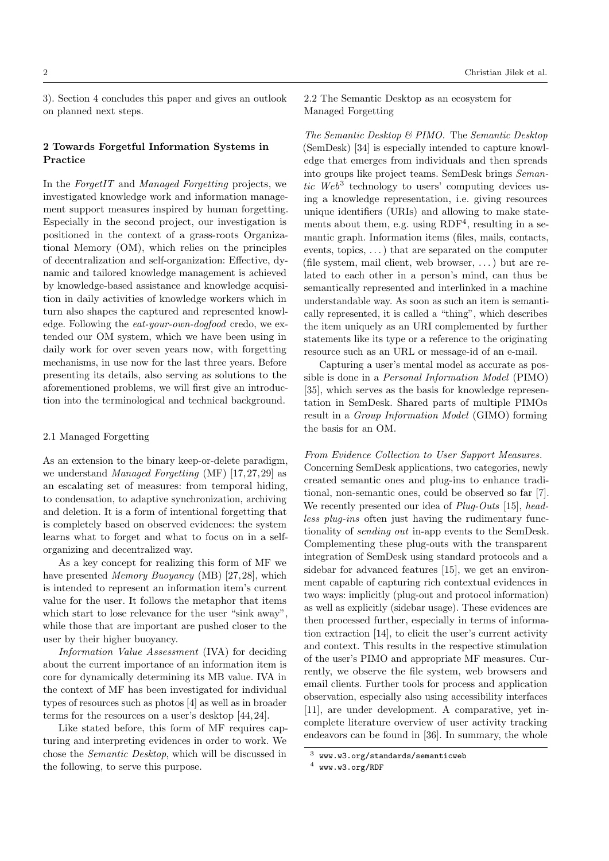3). Section 4 concludes this paper and gives an outlook on planned next steps.

# 2 Towards Forgetful Information Systems in Practice

In the ForgetIT and Managed Forgetting projects, we investigated knowledge work and information management support measures inspired by human forgetting. Especially in the second project, our investigation is positioned in the context of a grass-roots Organizational Memory (OM), which relies on the principles of decentralization and self-organization: Effective, dynamic and tailored knowledge management is achieved by knowledge-based assistance and knowledge acquisition in daily activities of knowledge workers which in turn also shapes the captured and represented knowledge. Following the eat-your-own-dogfood credo, we extended our OM system, which we have been using in daily work for over seven years now, with forgetting mechanisms, in use now for the last three years. Before presenting its details, also serving as solutions to the aforementioned problems, we will first give an introduction into the terminological and technical background.

### 2.1 Managed Forgetting

As an extension to the binary keep-or-delete paradigm, we understand Managed Forgetting (MF) [\[17,](#page-8-1) [27,](#page-8-2) [29\]](#page-8-3) as an escalating set of measures: from temporal hiding, to condensation, to adaptive synchronization, archiving and deletion. It is a form of intentional forgetting that is completely based on observed evidences: the system learns what to forget and what to focus on in a selforganizing and decentralized way.

As a key concept for realizing this form of MF we have presented Memory Buoyancy (MB) [\[27,](#page-8-2)[28\]](#page-8-4), which is intended to represent an information item's current value for the user. It follows the metaphor that items which start to lose relevance for the user "sink away", while those that are important are pushed closer to the user by their higher buoyancy.

Information Value Assessment (IVA) for deciding about the current importance of an information item is core for dynamically determining its MB value. IVA in the context of MF has been investigated for individual types of resources such as photos [\[4\]](#page-8-5) as well as in broader terms for the resources on a user's desktop [\[44,](#page-9-1) [24\]](#page-8-6).

Like stated before, this form of MF requires capturing and interpreting evidences in order to work. We chose the Semantic Desktop, which will be discussed in the following, to serve this purpose.

<span id="page-1-2"></span>2.2 The Semantic Desktop as an ecosystem for Managed Forgetting

The Semantic Desktop & PIMO. The Semantic Desktop (SemDesk) [\[34\]](#page-8-7) is especially intended to capture knowledge that emerges from individuals and then spreads into groups like project teams. SemDesk brings Semantic  $Web<sup>3</sup>$  $Web<sup>3</sup>$  $Web<sup>3</sup>$  technology to users' computing devices using a knowledge representation, i.e. giving resources unique identifiers (URIs) and allowing to make statements about them, e.g. using  $RDF<sup>4</sup>$  $RDF<sup>4</sup>$  $RDF<sup>4</sup>$ , resulting in a semantic graph. Information items (files, mails, contacts, events, topics, . . . ) that are separated on the computer (file system, mail client, web browser,  $\dots$ ) but are related to each other in a person's mind, can thus be semantically represented and interlinked in a machine understandable way. As soon as such an item is semantically represented, it is called a "thing", which describes the item uniquely as an URI complemented by further statements like its type or a reference to the originating resource such as an URL or message-id of an e-mail.

Capturing a user's mental model as accurate as possible is done in a Personal Information Model (PIMO) [\[35\]](#page-9-2), which serves as the basis for knowledge representation in SemDesk. Shared parts of multiple PIMOs result in a Group Information Model (GIMO) forming the basis for an OM.

From Evidence Collection to User Support Measures.

Concerning SemDesk applications, two categories, newly created semantic ones and plug-ins to enhance traditional, non-semantic ones, could be observed so far [\[7\]](#page-8-8). We recently presented our idea of Plug-Outs [\[15\]](#page-8-9), headless plug-ins often just having the rudimentary functionality of sending out in-app events to the SemDesk. Complementing these plug-outs with the transparent integration of SemDesk using standard protocols and a sidebar for advanced features [\[15\]](#page-8-9), we get an environment capable of capturing rich contextual evidences in two ways: implicitly (plug-out and protocol information) as well as explicitly (sidebar usage). These evidences are then processed further, especially in terms of information extraction [\[14\]](#page-8-10), to elicit the user's current activity and context. This results in the respective stimulation of the user's PIMO and appropriate MF measures. Currently, we observe the file system, web browsers and email clients. Further tools for process and application observation, especially also using accessibility interfaces [\[11\]](#page-8-11), are under development. A comparative, yet incomplete literature overview of user activity tracking endeavors can be found in [\[36\]](#page-9-3). In summary, the whole

<span id="page-1-0"></span><sup>3</sup> <www.w3.org/standards/semanticweb>

<span id="page-1-1"></span><sup>4</sup> <www.w3.org/RDF>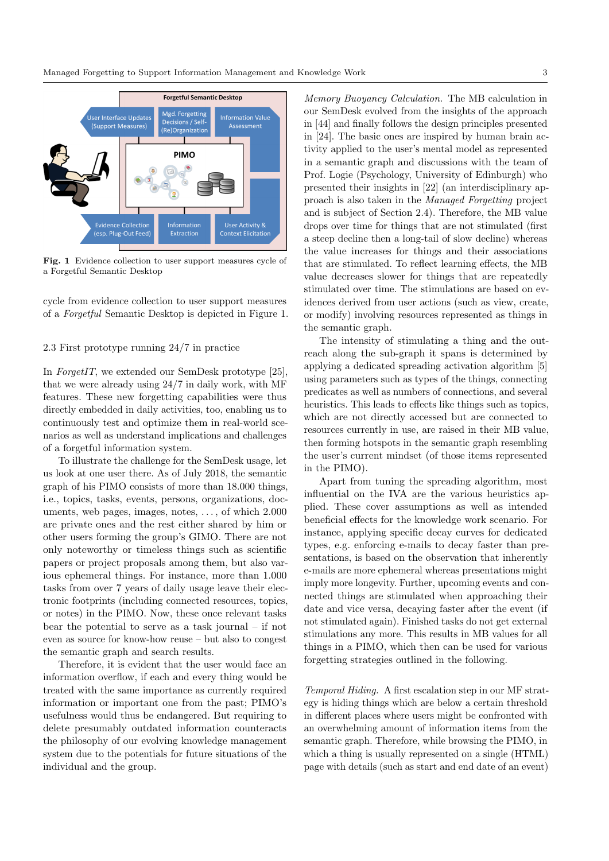

<span id="page-2-0"></span>Fig. 1 Evidence collection to user support measures cycle of a Forgetful Semantic Desktop

cycle from evidence collection to user support measures of a Forgetful Semantic Desktop is depicted in Figure [1.](#page-2-0)

#### <span id="page-2-1"></span>2.3 First prototype running 24/7 in practice

In ForgetIT, we extended our SemDesk prototype [\[25\]](#page-8-12), that we were already using 24/7 in daily work, with MF features. These new forgetting capabilities were thus directly embedded in daily activities, too, enabling us to continuously test and optimize them in real-world scenarios as well as understand implications and challenges of a forgetful information system.

To illustrate the challenge for the SemDesk usage, let us look at one user there. As of July 2018, the semantic graph of his PIMO consists of more than 18.000 things, i.e., topics, tasks, events, persons, organizations, documents, web pages, images, notes, . . . , of which 2.000 are private ones and the rest either shared by him or other users forming the group's GIMO. There are not only noteworthy or timeless things such as scientific papers or project proposals among them, but also various ephemeral things. For instance, more than 1.000 tasks from over 7 years of daily usage leave their electronic footprints (including connected resources, topics, or notes) in the PIMO. Now, these once relevant tasks bear the potential to serve as a task journal – if not even as source for know-how reuse – but also to congest the semantic graph and search results.

Therefore, it is evident that the user would face an information overflow, if each and every thing would be treated with the same importance as currently required information or important one from the past; PIMO's usefulness would thus be endangered. But requiring to delete presumably outdated information counteracts the philosophy of our evolving knowledge management system due to the potentials for future situations of the individual and the group.

Memory Buoyancy Calculation. The MB calculation in our SemDesk evolved from the insights of the approach in [\[44\]](#page-9-1) and finally follows the design principles presented in [\[24\]](#page-8-6). The basic ones are inspired by human brain activity applied to the user's mental model as represented in a semantic graph and discussions with the team of Prof. Logie (Psychology, University of Edinburgh) who presented their insights in [\[22\]](#page-8-13) (an interdisciplinary approach is also taken in the Managed Forgetting project and is subject of Section [2.4\)](#page-4-0). Therefore, the MB value drops over time for things that are not stimulated (first a steep decline then a long-tail of slow decline) whereas the value increases for things and their associations that are stimulated. To reflect learning effects, the MB value decreases slower for things that are repeatedly stimulated over time. The stimulations are based on evidences derived from user actions (such as view, create, or modify) involving resources represented as things in the semantic graph.

The intensity of stimulating a thing and the outreach along the sub-graph it spans is determined by applying a dedicated spreading activation algorithm [\[5\]](#page-8-14) using parameters such as types of the things, connecting predicates as well as numbers of connections, and several heuristics. This leads to effects like things such as topics, which are not directly accessed but are connected to resources currently in use, are raised in their MB value, then forming hotspots in the semantic graph resembling the user's current mindset (of those items represented in the PIMO).

Apart from tuning the spreading algorithm, most influential on the IVA are the various heuristics applied. These cover assumptions as well as intended beneficial effects for the knowledge work scenario. For instance, applying specific decay curves for dedicated types, e.g. enforcing e-mails to decay faster than presentations, is based on the observation that inherently e-mails are more ephemeral whereas presentations might imply more longevity. Further, upcoming events and connected things are stimulated when approaching their date and vice versa, decaying faster after the event (if not stimulated again). Finished tasks do not get external stimulations any more. This results in MB values for all things in a PIMO, which then can be used for various forgetting strategies outlined in the following.

Temporal Hiding. A first escalation step in our MF strategy is hiding things which are below a certain threshold in different places where users might be confronted with an overwhelming amount of information items from the semantic graph. Therefore, while browsing the PIMO, in which a thing is usually represented on a single (HTML) page with details (such as start and end date of an event)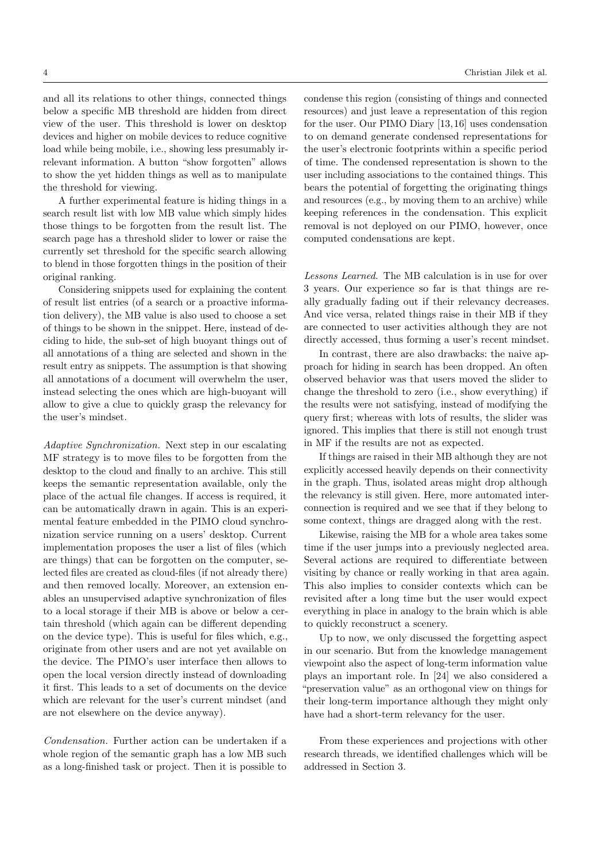and all its relations to other things, connected things below a specific MB threshold are hidden from direct view of the user. This threshold is lower on desktop devices and higher on mobile devices to reduce cognitive load while being mobile, i.e., showing less presumably irrelevant information. A button "show forgotten" allows to show the yet hidden things as well as to manipulate the threshold for viewing.

A further experimental feature is hiding things in a search result list with low MB value which simply hides those things to be forgotten from the result list. The search page has a threshold slider to lower or raise the currently set threshold for the specific search allowing to blend in those forgotten things in the position of their original ranking.

Considering snippets used for explaining the content of result list entries (of a search or a proactive information delivery), the MB value is also used to choose a set of things to be shown in the snippet. Here, instead of deciding to hide, the sub-set of high buoyant things out of all annotations of a thing are selected and shown in the result entry as snippets. The assumption is that showing all annotations of a document will overwhelm the user, instead selecting the ones which are high-buoyant will allow to give a clue to quickly grasp the relevancy for the user's mindset.

Adaptive Synchronization. Next step in our escalating MF strategy is to move files to be forgotten from the desktop to the cloud and finally to an archive. This still keeps the semantic representation available, only the place of the actual file changes. If access is required, it can be automatically drawn in again. This is an experimental feature embedded in the PIMO cloud synchronization service running on a users' desktop. Current implementation proposes the user a list of files (which are things) that can be forgotten on the computer, selected files are created as cloud-files (if not already there) and then removed locally. Moreover, an extension enables an unsupervised adaptive synchronization of files to a local storage if their MB is above or below a certain threshold (which again can be different depending on the device type). This is useful for files which, e.g., originate from other users and are not yet available on the device. The PIMO's user interface then allows to open the local version directly instead of downloading it first. This leads to a set of documents on the device which are relevant for the user's current mindset (and are not elsewhere on the device anyway).

Condensation. Further action can be undertaken if a whole region of the semantic graph has a low MB such as a long-finished task or project. Then it is possible to

condense this region (consisting of things and connected resources) and just leave a representation of this region for the user. Our PIMO Diary [\[13,](#page-8-15)[16\]](#page-8-16) uses condensation to on demand generate condensed representations for the user's electronic footprints within a specific period of time. The condensed representation is shown to the user including associations to the contained things. This bears the potential of forgetting the originating things and resources (e.g., by moving them to an archive) while keeping references in the condensation. This explicit removal is not deployed on our PIMO, however, once computed condensations are kept.

Lessons Learned. The MB calculation is in use for over 3 years. Our experience so far is that things are really gradually fading out if their relevancy decreases. And vice versa, related things raise in their MB if they are connected to user activities although they are not directly accessed, thus forming a user's recent mindset.

In contrast, there are also drawbacks: the naive approach for hiding in search has been dropped. An often observed behavior was that users moved the slider to change the threshold to zero (i.e., show everything) if the results were not satisfying, instead of modifying the query first; whereas with lots of results, the slider was ignored. This implies that there is still not enough trust in MF if the results are not as expected.

If things are raised in their MB although they are not explicitly accessed heavily depends on their connectivity in the graph. Thus, isolated areas might drop although the relevancy is still given. Here, more automated interconnection is required and we see that if they belong to some context, things are dragged along with the rest.

Likewise, raising the MB for a whole area takes some time if the user jumps into a previously neglected area. Several actions are required to differentiate between visiting by chance or really working in that area again. This also implies to consider contexts which can be revisited after a long time but the user would expect everything in place in analogy to the brain which is able to quickly reconstruct a scenery.

Up to now, we only discussed the forgetting aspect in our scenario. But from the knowledge management viewpoint also the aspect of long-term information value plays an important role. In [\[24\]](#page-8-6) we also considered a "preservation value" as an orthogonal view on things for their long-term importance although they might only have had a short-term relevancy for the user.

From these experiences and projections with other research threads, we identified challenges which will be addressed in Section [3.](#page-4-1)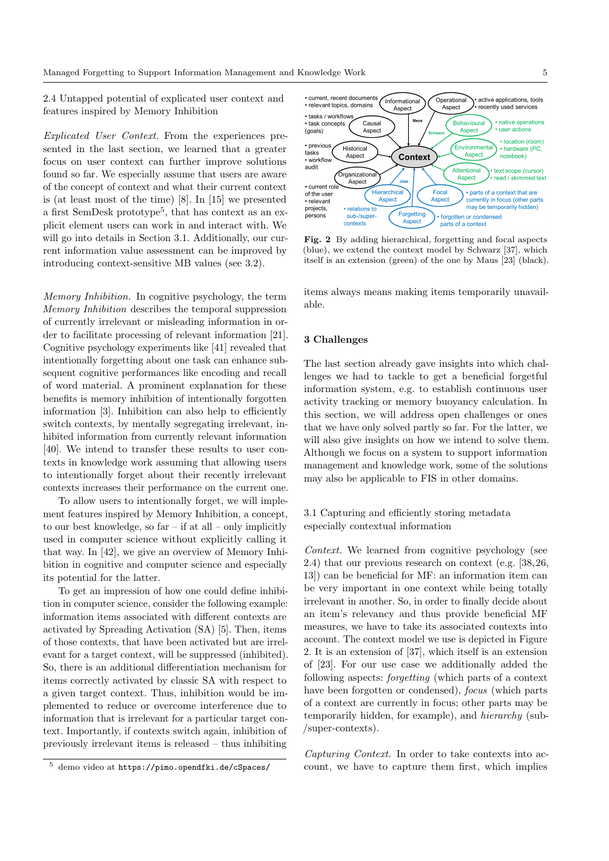<span id="page-4-0"></span>2.4 Untapped potential of explicated user context and features inspired by Memory Inhibition

Explicated User Context. From the experiences presented in the last section, we learned that a greater focus on user context can further improve solutions found so far. We especially assume that users are aware of the concept of context and what their current context is (at least most of the time) [\[8\]](#page-8-17). In [\[15\]](#page-8-9) we presented a first SemDesk prototype<sup>[5](#page-4-2)</sup>, that has context as an explicit element users can work in and interact with. We will go into details in Section [3.1.](#page-4-3) Additionally, our current information value assessment can be improved by introducing context-sensitive MB values (see [3.2\)](#page-5-0).

Memory Inhibition. In cognitive psychology, the term Memory Inhibition describes the temporal suppression of currently irrelevant or misleading information in order to facilitate processing of relevant information [\[21\]](#page-8-18). Cognitive psychology experiments like [\[41\]](#page-9-4) revealed that intentionally forgetting about one task can enhance subsequent cognitive performances like encoding and recall of word material. A prominent explanation for these benefits is memory inhibition of intentionally forgotten information [\[3\]](#page-8-19). Inhibition can also help to efficiently switch contexts, by mentally segregating irrelevant, inhibited information from currently relevant information [\[40\]](#page-9-5). We intend to transfer these results to user contexts in knowledge work assuming that allowing users to intentionally forget about their recently irrelevant contexts increases their performance on the current one.

To allow users to intentionally forget, we will implement features inspired by Memory Inhibition, a concept, to our best knowledge, so  $far - if at all - only implicitly$ used in computer science without explicitly calling it that way. In [\[42\]](#page-9-6), we give an overview of Memory Inhibition in cognitive and computer science and especially its potential for the latter.

To get an impression of how one could define inhibition in computer science, consider the following example: information items associated with different contexts are activated by Spreading Activation (SA) [\[5\]](#page-8-14). Then, items of those contexts, that have been activated but are irrelevant for a target context, will be suppressed (inhibited). So, there is an additional differentiation mechanism for items correctly activated by classic SA with respect to a given target context. Thus, inhibition would be implemented to reduce or overcome interference due to information that is irrelevant for a particular target context. Importantly, if contexts switch again, inhibition of previously irrelevant items is released – thus inhibiting

<span id="page-4-2"></span>



<span id="page-4-4"></span>Fig. 2 By adding hierarchical, forgetting and focal aspects (blue), we extend the context model by Schwarz [\[37\]](#page-9-7), which itself is an extension (green) of the one by Maus [\[23\]](#page-8-20) (black).

items always means making items temporarily unavailable.

#### <span id="page-4-1"></span>3 Challenges

The last section already gave insights into which challenges we had to tackle to get a beneficial forgetful information system, e.g. to establish continuous user activity tracking or memory buoyancy calculation. In this section, we will address open challenges or ones that we have only solved partly so far. For the latter, we will also give insights on how we intend to solve them. Although we focus on a system to support information management and knowledge work, some of the solutions may also be applicable to FIS in other domains.

<span id="page-4-3"></span>3.1 Capturing and efficiently storing metadata especially contextual information

Context. We learned from cognitive psychology (see [2.4\)](#page-4-0) that our previous research on context (e.g. [\[38,](#page-9-8)[26,](#page-8-21) [13\]](#page-8-15)) can be beneficial for MF: an information item can be very important in one context while being totally irrelevant in another. So, in order to finally decide about an item's relevancy and thus provide beneficial MF measures, we have to take its associated contexts into account. The context model we use is depicted in Figure [2.](#page-4-4) It is an extension of [\[37\]](#page-9-7), which itself is an extension of [\[23\]](#page-8-20). For our use case we additionally added the following aspects: forgetting (which parts of a context have been forgotten or condensed), *focus* (which parts of a context are currently in focus; other parts may be temporarily hidden, for example), and hierarchy (sub- /super-contexts).

Capturing Context. In order to take contexts into account, we have to capture them first, which implies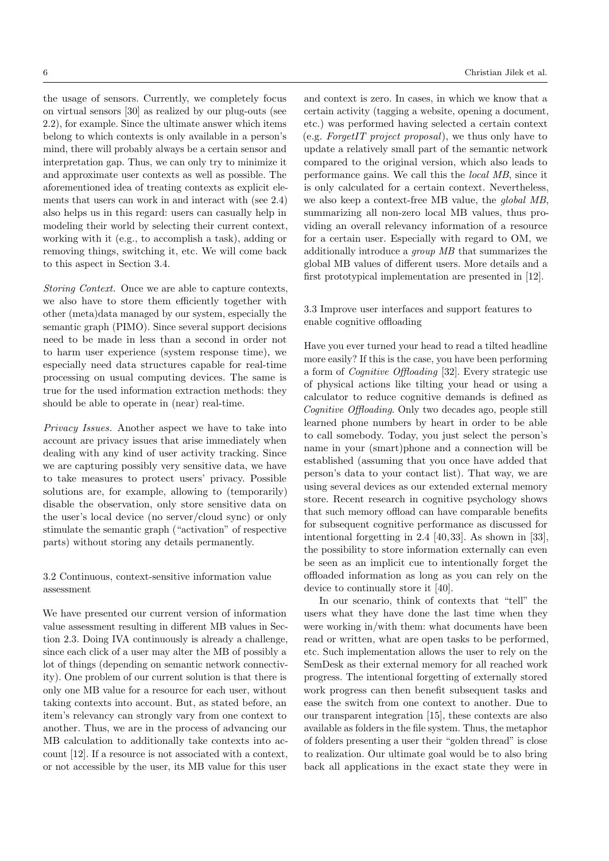the usage of sensors. Currently, we completely focus on virtual sensors [\[30\]](#page-8-22) as realized by our plug-outs (see [2.2\)](#page-1-2), for example. Since the ultimate answer which items belong to which contexts is only available in a person's mind, there will probably always be a certain sensor and interpretation gap. Thus, we can only try to minimize it and approximate user contexts as well as possible. The aforementioned idea of treating contexts as explicit elements that users can work in and interact with (see [2.4\)](#page-4-0) also helps us in this regard: users can casually help in modeling their world by selecting their current context, working with it (e.g., to accomplish a task), adding or removing things, switching it, etc. We will come back to this aspect in Section [3.4.](#page-6-0)

Storing Context. Once we are able to capture contexts, we also have to store them efficiently together with other (meta)data managed by our system, especially the semantic graph (PIMO). Since several support decisions need to be made in less than a second in order not to harm user experience (system response time), we especially need data structures capable for real-time processing on usual computing devices. The same is true for the used information extraction methods: they should be able to operate in (near) real-time.

Privacy Issues. Another aspect we have to take into account are privacy issues that arise immediately when dealing with any kind of user activity tracking. Since we are capturing possibly very sensitive data, we have to take measures to protect users' privacy. Possible solutions are, for example, allowing to (temporarily) disable the observation, only store sensitive data on the user's local device (no server/cloud sync) or only stimulate the semantic graph ("activation" of respective parts) without storing any details permanently.

<span id="page-5-0"></span>3.2 Continuous, context-sensitive information value assessment

We have presented our current version of information value assessment resulting in different MB values in Section [2.3.](#page-2-1) Doing IVA continuously is already a challenge, since each click of a user may alter the MB of possibly a lot of things (depending on semantic network connectivity). One problem of our current solution is that there is only one MB value for a resource for each user, without taking contexts into account. But, as stated before, an item's relevancy can strongly vary from one context to another. Thus, we are in the process of advancing our MB calculation to additionally take contexts into account [\[12\]](#page-8-23). If a resource is not associated with a context, or not accessible by the user, its MB value for this user

and context is zero. In cases, in which we know that a certain activity (tagging a website, opening a document, etc.) was performed having selected a certain context (e.g. ForgetIT project proposal), we thus only have to update a relatively small part of the semantic network compared to the original version, which also leads to performance gains. We call this the local MB, since it is only calculated for a certain context. Nevertheless, we also keep a context-free MB value, the global MB, summarizing all non-zero local MB values, thus providing an overall relevancy information of a resource for a certain user. Especially with regard to OM, we additionally introduce a group MB that summarizes the global MB values of different users. More details and a first prototypical implementation are presented in [\[12\]](#page-8-23).

## 3.3 Improve user interfaces and support features to enable cognitive offloading

Have you ever turned your head to read a tilted headline more easily? If this is the case, you have been performing a form of Cognitive Offloading [\[32\]](#page-8-24). Every strategic use of physical actions like tilting your head or using a calculator to reduce cognitive demands is defined as Cognitive Offloading. Only two decades ago, people still learned phone numbers by heart in order to be able to call somebody. Today, you just select the person's name in your (smart)phone and a connection will be established (assuming that you once have added that person's data to your contact list). That way, we are using several devices as our extended external memory store. Recent research in cognitive psychology shows that such memory offload can have comparable benefits for subsequent cognitive performance as discussed for intentional forgetting in [2.4](#page-4-0) [\[40,](#page-9-5)[33\]](#page-8-25). As shown in [\[33\]](#page-8-25), the possibility to store information externally can even be seen as an implicit cue to intentionally forget the offloaded information as long as you can rely on the device to continually store it [\[40\]](#page-9-5).

In our scenario, think of contexts that "tell" the users what they have done the last time when they were working in/with them: what documents have been read or written, what are open tasks to be performed, etc. Such implementation allows the user to rely on the SemDesk as their external memory for all reached work progress. The intentional forgetting of externally stored work progress can then benefit subsequent tasks and ease the switch from one context to another. Due to our transparent integration [\[15\]](#page-8-9), these contexts are also available as folders in the file system. Thus, the metaphor of folders presenting a user their "golden thread" is close to realization. Our ultimate goal would be to also bring back all applications in the exact state they were in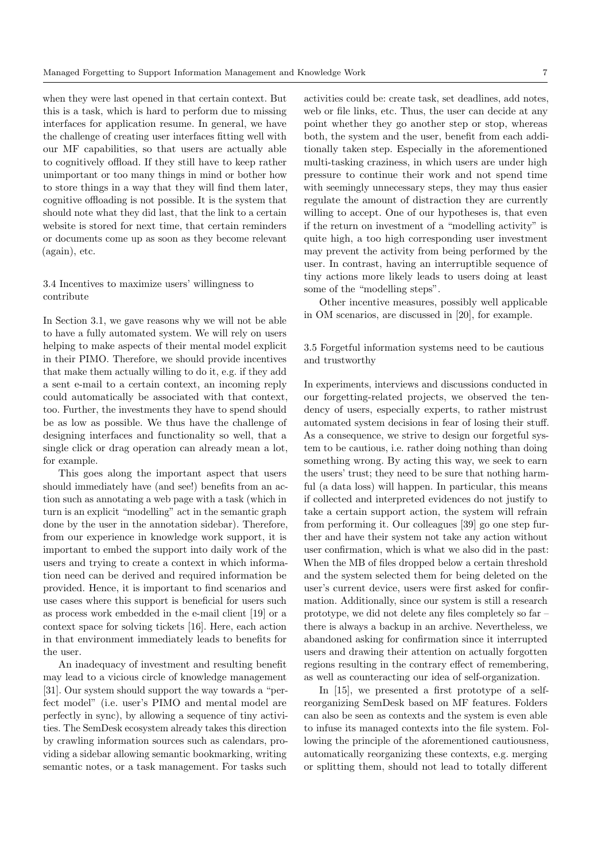when they were last opened in that certain context. But this is a task, which is hard to perform due to missing interfaces for application resume. In general, we have the challenge of creating user interfaces fitting well with our MF capabilities, so that users are actually able to cognitively offload. If they still have to keep rather unimportant or too many things in mind or bother how to store things in a way that they will find them later, cognitive offloading is not possible. It is the system that should note what they did last, that the link to a certain website is stored for next time, that certain reminders or documents come up as soon as they become relevant (again), etc.

## <span id="page-6-0"></span>3.4 Incentives to maximize users' willingness to contribute

In Section [3.1,](#page-4-3) we gave reasons why we will not be able to have a fully automated system. We will rely on users helping to make aspects of their mental model explicit in their PIMO. Therefore, we should provide incentives that make them actually willing to do it, e.g. if they add a sent e-mail to a certain context, an incoming reply could automatically be associated with that context, too. Further, the investments they have to spend should be as low as possible. We thus have the challenge of designing interfaces and functionality so well, that a single click or drag operation can already mean a lot, for example.

This goes along the important aspect that users should immediately have (and see!) benefits from an action such as annotating a web page with a task (which in turn is an explicit "modelling" act in the semantic graph done by the user in the annotation sidebar). Therefore, from our experience in knowledge work support, it is important to embed the support into daily work of the users and trying to create a context in which information need can be derived and required information be provided. Hence, it is important to find scenarios and use cases where this support is beneficial for users such as process work embedded in the e-mail client [\[19\]](#page-8-26) or a context space for solving tickets [\[16\]](#page-8-16). Here, each action in that environment immediately leads to benefits for the user.

An inadequacy of investment and resulting benefit may lead to a vicious circle of knowledge management [\[31\]](#page-8-27). Our system should support the way towards a "perfect model" (i.e. user's PIMO and mental model are perfectly in sync), by allowing a sequence of tiny activities. The SemDesk ecosystem already takes this direction by crawling information sources such as calendars, providing a sidebar allowing semantic bookmarking, writing semantic notes, or a task management. For tasks such

activities could be: create task, set deadlines, add notes, web or file links, etc. Thus, the user can decide at any point whether they go another step or stop, whereas both, the system and the user, benefit from each additionally taken step. Especially in the aforementioned multi-tasking craziness, in which users are under high pressure to continue their work and not spend time with seemingly unnecessary steps, they may thus easier regulate the amount of distraction they are currently willing to accept. One of our hypotheses is, that even if the return on investment of a "modelling activity" is quite high, a too high corresponding user investment may prevent the activity from being performed by the user. In contrast, having an interruptible sequence of tiny actions more likely leads to users doing at least some of the "modelling steps".

Other incentive measures, possibly well applicable in OM scenarios, are discussed in [\[20\]](#page-8-28), for example.

### 3.5 Forgetful information systems need to be cautious and trustworthy

In experiments, interviews and discussions conducted in our forgetting-related projects, we observed the tendency of users, especially experts, to rather mistrust automated system decisions in fear of losing their stuff. As a consequence, we strive to design our forgetful system to be cautious, i.e. rather doing nothing than doing something wrong. By acting this way, we seek to earn the users' trust; they need to be sure that nothing harmful (a data loss) will happen. In particular, this means if collected and interpreted evidences do not justify to take a certain support action, the system will refrain from performing it. Our colleagues [\[39\]](#page-9-9) go one step further and have their system not take any action without user confirmation, which is what we also did in the past: When the MB of files dropped below a certain threshold and the system selected them for being deleted on the user's current device, users were first asked for confirmation. Additionally, since our system is still a research prototype, we did not delete any files completely so far – there is always a backup in an archive. Nevertheless, we abandoned asking for confirmation since it interrupted users and drawing their attention on actually forgotten regions resulting in the contrary effect of remembering, as well as counteracting our idea of self-organization.

In [\[15\]](#page-8-9), we presented a first prototype of a selfreorganizing SemDesk based on MF features. Folders can also be seen as contexts and the system is even able to infuse its managed contexts into the file system. Following the principle of the aforementioned cautiousness, automatically reorganizing these contexts, e.g. merging or splitting them, should not lead to totally different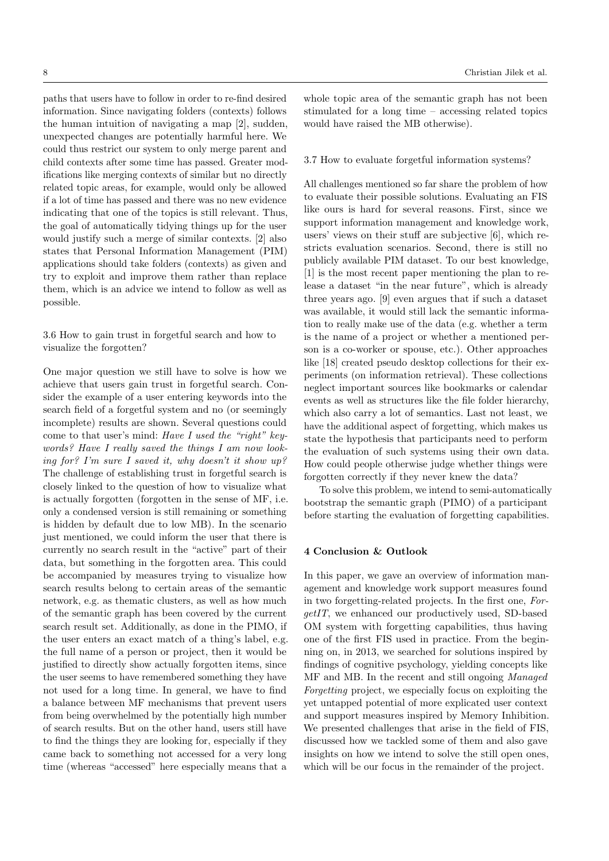paths that users have to follow in order to re-find desired information. Since navigating folders (contexts) follows the human intuition of navigating a map [\[2\]](#page-8-29), sudden, unexpected changes are potentially harmful here. We could thus restrict our system to only merge parent and child contexts after some time has passed. Greater modifications like merging contexts of similar but no directly related topic areas, for example, would only be allowed if a lot of time has passed and there was no new evidence indicating that one of the topics is still relevant. Thus, the goal of automatically tidying things up for the user would justify such a merge of similar contexts. [\[2\]](#page-8-29) also states that Personal Information Management (PIM) applications should take folders (contexts) as given and try to exploit and improve them rather than replace them, which is an advice we intend to follow as well as possible.

3.6 How to gain trust in forgetful search and how to visualize the forgotten?

One major question we still have to solve is how we achieve that users gain trust in forgetful search. Consider the example of a user entering keywords into the search field of a forgetful system and no (or seemingly incomplete) results are shown. Several questions could come to that user's mind: Have I used the "right" keywords? Have I really saved the things I am now looking for? I'm sure I saved it, why doesn't it show up? The challenge of establishing trust in forgetful search is closely linked to the question of how to visualize what is actually forgotten (forgotten in the sense of MF, i.e. only a condensed version is still remaining or something is hidden by default due to low MB). In the scenario just mentioned, we could inform the user that there is currently no search result in the "active" part of their data, but something in the forgotten area. This could be accompanied by measures trying to visualize how search results belong to certain areas of the semantic network, e.g. as thematic clusters, as well as how much of the semantic graph has been covered by the current search result set. Additionally, as done in the PIMO, if the user enters an exact match of a thing's label, e.g. the full name of a person or project, then it would be justified to directly show actually forgotten items, since the user seems to have remembered something they have not used for a long time. In general, we have to find a balance between MF mechanisms that prevent users from being overwhelmed by the potentially high number of search results. But on the other hand, users still have to find the things they are looking for, especially if they came back to something not accessed for a very long time (whereas "accessed" here especially means that a

whole topic area of the semantic graph has not been stimulated for a long time – accessing related topics would have raised the MB otherwise).

#### 3.7 How to evaluate forgetful information systems?

All challenges mentioned so far share the problem of how to evaluate their possible solutions. Evaluating an FIS like ours is hard for several reasons. First, since we support information management and knowledge work, users' views on their stuff are subjective [\[6\]](#page-8-30), which restricts evaluation scenarios. Second, there is still no publicly available PIM dataset. To our best knowledge, [\[1\]](#page-8-31) is the most recent paper mentioning the plan to release a dataset "in the near future", which is already three years ago. [\[9\]](#page-8-32) even argues that if such a dataset was available, it would still lack the semantic information to really make use of the data (e.g. whether a term is the name of a project or whether a mentioned person is a co-worker or spouse, etc.). Other approaches like [\[18\]](#page-8-33) created pseudo desktop collections for their experiments (on information retrieval). These collections neglect important sources like bookmarks or calendar events as well as structures like the file folder hierarchy, which also carry a lot of semantics. Last not least, we have the additional aspect of forgetting, which makes us state the hypothesis that participants need to perform the evaluation of such systems using their own data. How could people otherwise judge whether things were forgotten correctly if they never knew the data?

To solve this problem, we intend to semi-automatically bootstrap the semantic graph (PIMO) of a participant before starting the evaluation of forgetting capabilities.

#### 4 Conclusion & Outlook

In this paper, we gave an overview of information management and knowledge work support measures found in two forgetting-related projects. In the first one, ForgetIT, we enhanced our productively used, SD-based OM system with forgetting capabilities, thus having one of the first FIS used in practice. From the beginning on, in 2013, we searched for solutions inspired by findings of cognitive psychology, yielding concepts like MF and MB. In the recent and still ongoing Managed Forgetting project, we especially focus on exploiting the yet untapped potential of more explicated user context and support measures inspired by Memory Inhibition. We presented challenges that arise in the field of FIS, discussed how we tackled some of them and also gave insights on how we intend to solve the still open ones, which will be our focus in the remainder of the project.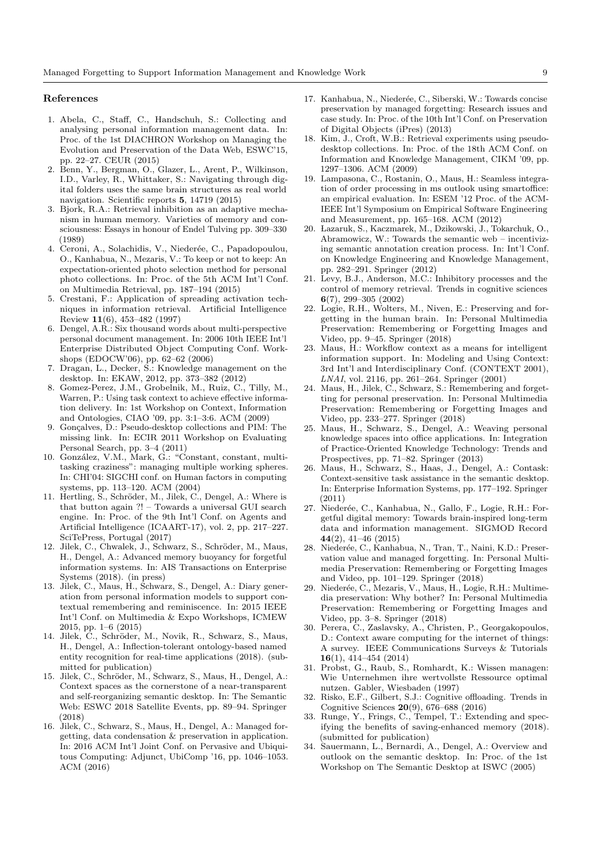#### References

- <span id="page-8-31"></span>1. Abela, C., Staff, C., Handschuh, S.: Collecting and analysing personal information management data. In: Proc. of the 1st DIACHRON Workshop on Managing the Evolution and Preservation of the Data Web, ESWC'15, pp. 22–27. CEUR (2015)
- <span id="page-8-29"></span>2. Benn, Y., Bergman, O., Glazer, L., Arent, P., Wilkinson, I.D., Varley, R., Whittaker, S.: Navigating through digital folders uses the same brain structures as real world navigation. Scientific reports 5, 14719 (2015)
- <span id="page-8-19"></span>3. Bjork, R.A.: Retrieval inhibition as an adaptive mechanism in human memory. Varieties of memory and consciousness: Essays in honour of Endel Tulving pp. 309–330 (1989)
- <span id="page-8-5"></span>4. Ceroni, A., Solachidis, V., Niederée, C., Papadopoulou, O., Kanhabua, N., Mezaris, V.: To keep or not to keep: An expectation-oriented photo selection method for personal photo collections. In: Proc. of the 5th ACM Int'l Conf. on Multimedia Retrieval, pp. 187–194 (2015)
- <span id="page-8-14"></span>5. Crestani, F.: Application of spreading activation techniques in information retrieval. Artificial Intelligence Review 11(6), 453–482 (1997)
- <span id="page-8-30"></span>6. Dengel, A.R.: Six thousand words about multi-perspective personal document management. In: 2006 10th IEEE Int'l Enterprise Distributed Object Computing Conf. Workshops (EDOCW'06), pp. 62–62 (2006)
- <span id="page-8-8"></span>7. Dragan, L., Decker, S.: Knowledge management on the desktop. In: EKAW, 2012, pp. 373–382 (2012)
- <span id="page-8-17"></span>8. Gomez-Perez, J.M., Grobelnik, M., Ruiz, C., Tilly, M., Warren, P.: Using task context to achieve effective information delivery. In: 1st Workshop on Context, Information and Ontologies, CIAO '09, pp. 3:1–3:6. ACM (2009)
- <span id="page-8-32"></span>9. Gonçalves, D.: Pseudo-desktop collections and PIM: The missing link. In: ECIR 2011 Workshop on Evaluating Personal Search, pp. 3–4 (2011)
- <span id="page-8-0"></span>10. González, V.M., Mark, G.: "Constant, constant, multitasking craziness": managing multiple working spheres. In: CHI'04: SIGCHI conf. on Human factors in computing systems, pp. 113–120. ACM (2004)
- <span id="page-8-11"></span>11. Hertling, S., Schröder, M., Jilek, C., Dengel, A.: Where is that button again ?! – Towards a universal GUI search engine. In: Proc. of the 9th Int'l Conf. on Agents and Artificial Intelligence (ICAART-17), vol. 2, pp. 217–227. SciTePress, Portugal (2017)
- <span id="page-8-23"></span>12. Jilek, C., Chwalek, J., Schwarz, S., Schröder, M., Maus, H., Dengel, A.: Advanced memory buoyancy for forgetful information systems. In: AIS Transactions on Enterprise Systems (2018). (in press)
- <span id="page-8-15"></span>13. Jilek, C., Maus, H., Schwarz, S., Dengel, A.: Diary generation from personal information models to support contextual remembering and reminiscence. In: 2015 IEEE Int'l Conf. on Multimedia & Expo Workshops, ICMEW 2015, pp. 1–6 (2015)
- <span id="page-8-10"></span>14. Jilek, C., Schröder, M., Novik, R., Schwarz, S., Maus, H., Dengel, A.: Inflection-tolerant ontology-based named entity recognition for real-time applications (2018). (submitted for publication)
- <span id="page-8-9"></span>15. Jilek, C., Schröder, M., Schwarz, S., Maus, H., Dengel, A.: Context spaces as the cornerstone of a near-transparent and self-reorganizing semantic desktop. In: The Semantic Web: ESWC 2018 Satellite Events, pp. 89–94. Springer (2018)
- <span id="page-8-16"></span>16. Jilek, C., Schwarz, S., Maus, H., Dengel, A.: Managed forgetting, data condensation & preservation in application. In: 2016 ACM Int'l Joint Conf. on Pervasive and Ubiquitous Computing: Adjunct, UbiComp '16, pp. 1046–1053. ACM (2016)
- <span id="page-8-1"></span>17. Kanhabua, N., Niederée, C., Siberski, W.: Towards concise preservation by managed forgetting: Research issues and case study. In: Proc. of the 10th Int'l Conf. on Preservation of Digital Objects (iPres) (2013)
- <span id="page-8-33"></span>18. Kim, J., Croft, W.B.: Retrieval experiments using pseudodesktop collections. In: Proc. of the 18th ACM Conf. on Information and Knowledge Management, CIKM '09, pp. 1297–1306. ACM (2009)
- <span id="page-8-26"></span>19. Lampasona, C., Rostanin, O., Maus, H.: Seamless integration of order processing in ms outlook using smartoffice: an empirical evaluation. In: ESEM '12 Proc. of the ACM-IEEE Int'l Symposium on Empirical Software Engineering and Measurement, pp. 165–168. ACM (2012)
- <span id="page-8-28"></span>20. Lazaruk, S., Kaczmarek, M., Dzikowski, J., Tokarchuk, O., Abramowicz, W.: Towards the semantic web – incentivizing semantic annotation creation process. In: Int'l Conf. on Knowledge Engineering and Knowledge Management, pp. 282–291. Springer (2012)
- <span id="page-8-18"></span>21. Levy, B.J., Anderson, M.C.: Inhibitory processes and the control of memory retrieval. Trends in cognitive sciences  $6(7)$ , 299–305 (2002)
- <span id="page-8-13"></span>22. Logie, R.H., Wolters, M., Niven, E.: Preserving and forgetting in the human brain. In: Personal Multimedia Preservation: Remembering or Forgetting Images and Video, pp. 9–45. Springer (2018)
- <span id="page-8-20"></span>23. Maus, H.: Workflow context as a means for intelligent information support. In: Modeling and Using Context: 3rd Int'l and Interdisciplinary Conf. (CONTEXT 2001), LNAI, vol. 2116, pp. 261–264. Springer (2001)
- <span id="page-8-6"></span>24. Maus, H., Jilek, C., Schwarz, S.: Remembering and forgetting for personal preservation. In: Personal Multimedia Preservation: Remembering or Forgetting Images and Video, pp. 233–277. Springer (2018)
- <span id="page-8-12"></span>25. Maus, H., Schwarz, S., Dengel, A.: Weaving personal knowledge spaces into office applications. In: Integration of Practice-Oriented Knowledge Technology: Trends and Prospectives, pp. 71–82. Springer (2013)
- <span id="page-8-21"></span>26. Maus, H., Schwarz, S., Haas, J., Dengel, A.: Contask: Context-sensitive task assistance in the semantic desktop. In: Enterprise Information Systems, pp. 177–192. Springer (2011)
- <span id="page-8-2"></span>27. Niederée, C., Kanhabua, N., Gallo, F., Logie, R.H.: Forgetful digital memory: Towards brain-inspired long-term data and information management. SIGMOD Record 44(2), 41–46 (2015)
- <span id="page-8-4"></span>28. Niederée, C., Kanhabua, N., Tran, T., Naini, K.D.: Preservation value and managed forgetting. In: Personal Multimedia Preservation: Remembering or Forgetting Images and Video, pp. 101–129. Springer (2018)
- <span id="page-8-3"></span>29. Niederée, C., Mezaris, V., Maus, H., Logie, R.H.: Multimedia preservation: Why bother? In: Personal Multimedia Preservation: Remembering or Forgetting Images and Video, pp. 3–8. Springer (2018)
- <span id="page-8-22"></span>30. Perera, C., Zaslavsky, A., Christen, P., Georgakopoulos, D.: Context aware computing for the internet of things: A survey. IEEE Communications Surveys & Tutorials 16(1),  $414-454$  (2014)
- <span id="page-8-27"></span>31. Probst, G., Raub, S., Romhardt, K.: Wissen managen: Wie Unternehmen ihre wertvollste Ressource optimal nutzen. Gabler, Wiesbaden (1997)
- <span id="page-8-24"></span>32. Risko, E.F., Gilbert, S.J.: Cognitive offloading. Trends in Cognitive Sciences 20(9), 676–688 (2016)
- <span id="page-8-25"></span>33. Runge, Y., Frings, C., Tempel, T.: Extending and specifying the benefits of saving-enhanced memory (2018). (submitted for publication)
- <span id="page-8-7"></span>34. Sauermann, L., Bernardi, A., Dengel, A.: Overview and outlook on the semantic desktop. In: Proc. of the 1st Workshop on The Semantic Desktop at ISWC (2005)